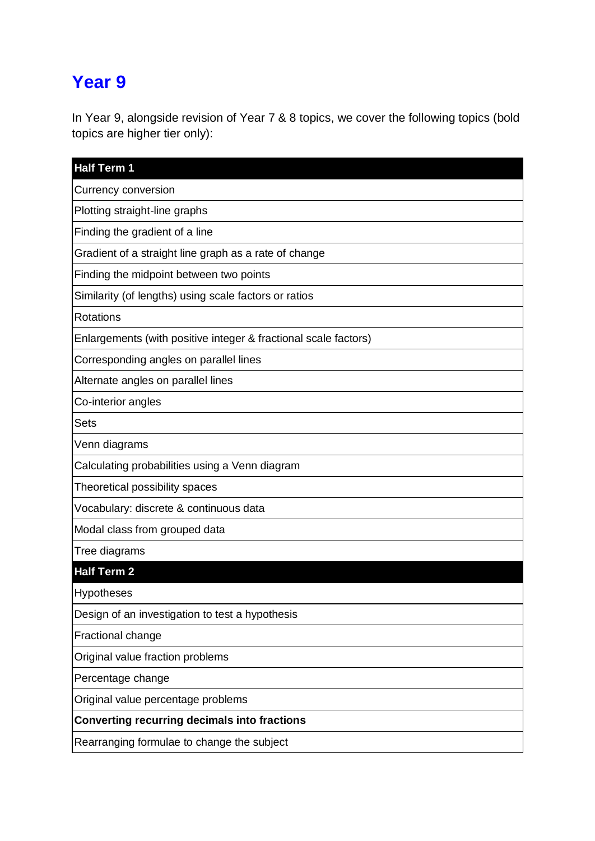# **Year 9**

In Year 9, alongside revision of Year 7 & 8 topics, we cover the following topics (bold topics are higher tier only):

| <b>Half Term 1</b>                                              |
|-----------------------------------------------------------------|
| <b>Currency conversion</b>                                      |
| Plotting straight-line graphs                                   |
| Finding the gradient of a line                                  |
| Gradient of a straight line graph as a rate of change           |
| Finding the midpoint between two points                         |
| Similarity (of lengths) using scale factors or ratios           |
| Rotations                                                       |
| Enlargements (with positive integer & fractional scale factors) |
| Corresponding angles on parallel lines                          |
| Alternate angles on parallel lines                              |
| Co-interior angles                                              |
| <b>Sets</b>                                                     |
| Venn diagrams                                                   |
| Calculating probabilities using a Venn diagram                  |
| Theoretical possibility spaces                                  |
| Vocabulary: discrete & continuous data                          |
| Modal class from grouped data                                   |
| Tree diagrams                                                   |
| <b>Half Term 2</b>                                              |
| <b>Hypotheses</b>                                               |
| Design of an investigation to test a hypothesis                 |
| Fractional change                                               |
| Original value fraction problems                                |
| Percentage change                                               |
| Original value percentage problems                              |
| <b>Converting recurring decimals into fractions</b>             |
| Rearranging formulae to change the subject                      |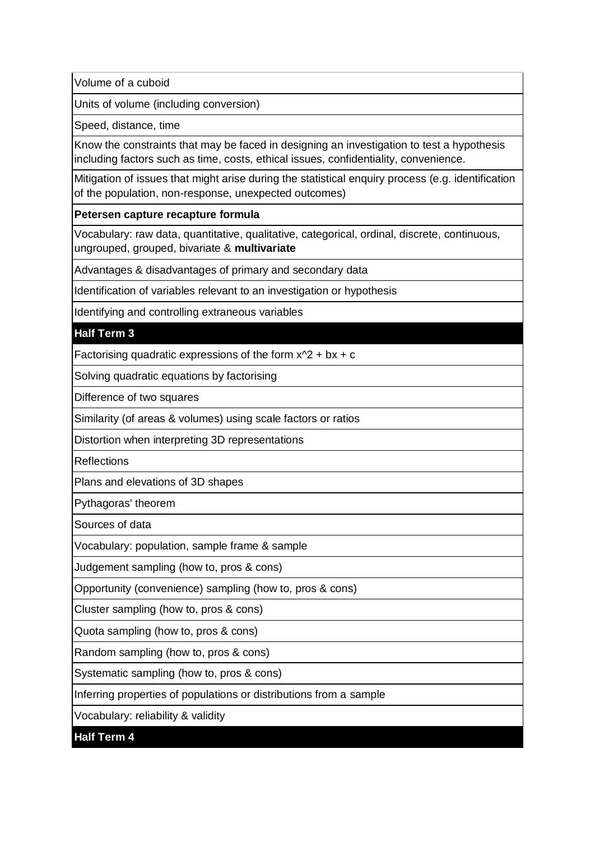Volume of a cuboid

Units of volume (including conversion)

Speed, distance, time

Know the constraints that may be faced in designing an investigation to test a hypothesis including factors such as time, costs, ethical issues, confidentiality, convenience.

Mitigation of issues that might arise during the statistical enquiry process (e.g. identification of the population, non-response, unexpected outcomes)

### **Petersen capture recapture formula**

Vocabulary: raw data, quantitative, qualitative, categorical, ordinal, discrete, continuous, ungrouped, grouped, bivariate & **multivariate**

Advantages & disadvantages of primary and secondary data

Identification of variables relevant to an investigation or hypothesis

Identifying and controlling extraneous variables

### **Half Term 3**

Factorising quadratic expressions of the form  $x^2 + bx + c$ 

Solving quadratic equations by factorising

Difference of two squares

Similarity (of areas & volumes) using scale factors or ratios

Distortion when interpreting 3D representations

**Reflections** 

Plans and elevations of 3D shapes

Pythagoras' theorem

Sources of data

Vocabulary: population, sample frame & sample

Judgement sampling (how to, pros & cons)

Opportunity (convenience) sampling (how to, pros & cons)

Cluster sampling (how to, pros & cons)

Quota sampling (how to, pros & cons)

Random sampling (how to, pros & cons)

Systematic sampling (how to, pros & cons)

Inferring properties of populations or distributions from a sample

Vocabulary: reliability & validity

**Half Term 4**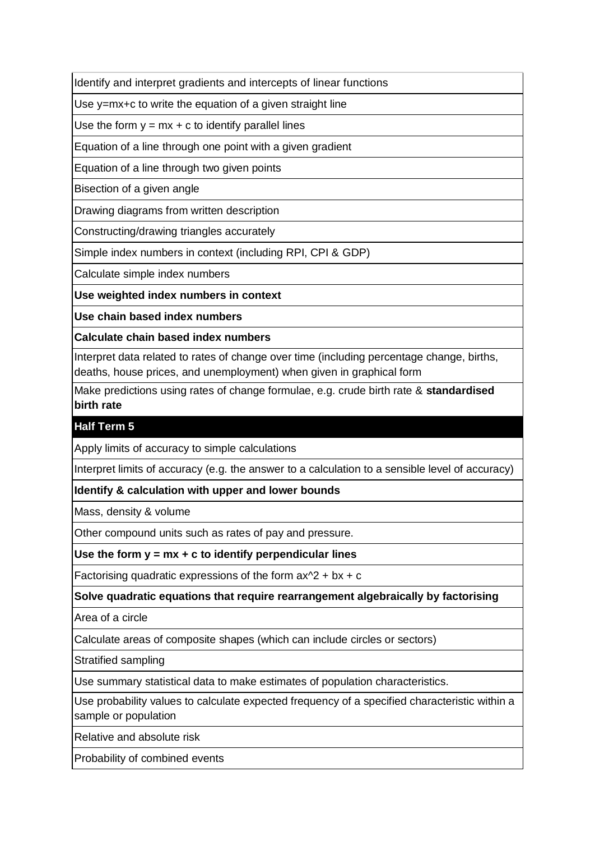Identify and interpret gradients and intercepts of linear functions

Use y=mx+c to write the equation of a given straight line

Use the form  $y = mx + c$  to identify parallel lines

Equation of a line through one point with a given gradient

Equation of a line through two given points

Bisection of a given angle

Drawing diagrams from written description

Constructing/drawing triangles accurately

Simple index numbers in context (including RPI, CPI & GDP)

Calculate simple index numbers

**Use weighted index numbers in context**

**Use chain based index numbers**

**Calculate chain based index numbers**

Interpret data related to rates of change over time (including percentage change, births, deaths, house prices, and unemployment) when given in graphical form

Make predictions using rates of change formulae, e.g. crude birth rate & **standardised birth rate**

## **Half Term 5**

Apply limits of accuracy to simple calculations

Interpret limits of accuracy (e.g. the answer to a calculation to a sensible level of accuracy)

**Identify & calculation with upper and lower bounds**

Mass, density & volume

Other compound units such as rates of pay and pressure.

**Use the form y = mx + c to identify perpendicular lines**

Factorising quadratic expressions of the form  $ax^2 + bx + c$ 

**Solve quadratic equations that require rearrangement algebraically by factorising**

Area of a circle

Calculate areas of composite shapes (which can include circles or sectors)

Stratified sampling

Use summary statistical data to make estimates of population characteristics.

Use probability values to calculate expected frequency of a specified characteristic within a sample or population

Relative and absolute risk

Probability of combined events